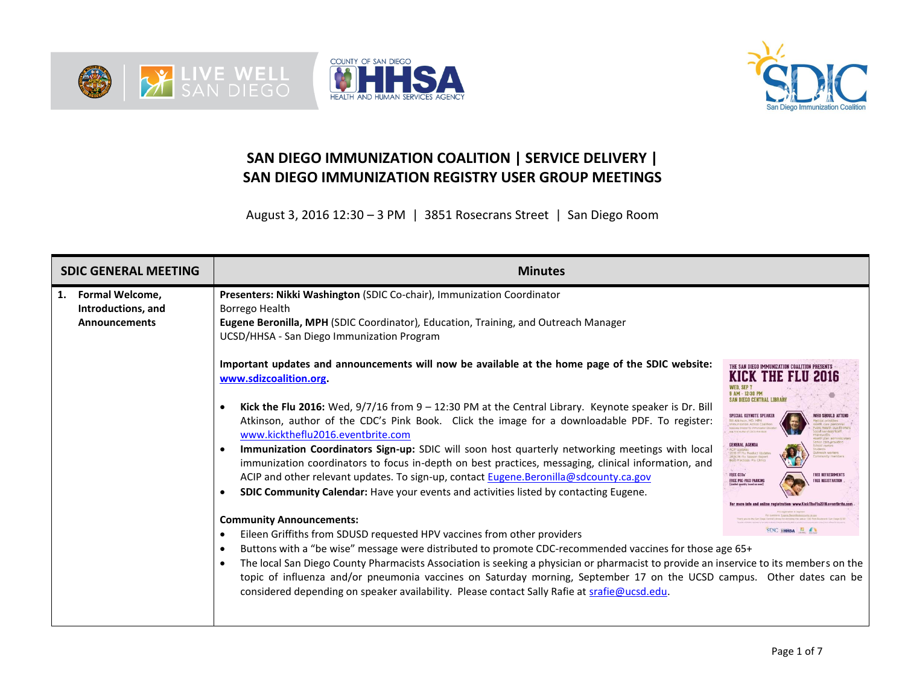





## **SAN DIEGO IMMUNIZATION COALITION | SERVICE DELIVERY | SAN DIEGO IMMUNIZATION REGISTRY USER GROUP MEETINGS**

August 3, 2016 12:30 – 3 PM | 3851 Rosecrans Street | San Diego Room

| <b>SDIC GENERAL MEETING</b>                                                | <b>Minutes</b>                                                                                                                                                                                                                                                                                                                                                                                                                                                                                                                                                                                                                                                                                                                                                                 |                                                                                                                                                                                                                                                                                                                                                                                                                                                                          |  |  |  |  |  |  |
|----------------------------------------------------------------------------|--------------------------------------------------------------------------------------------------------------------------------------------------------------------------------------------------------------------------------------------------------------------------------------------------------------------------------------------------------------------------------------------------------------------------------------------------------------------------------------------------------------------------------------------------------------------------------------------------------------------------------------------------------------------------------------------------------------------------------------------------------------------------------|--------------------------------------------------------------------------------------------------------------------------------------------------------------------------------------------------------------------------------------------------------------------------------------------------------------------------------------------------------------------------------------------------------------------------------------------------------------------------|--|--|--|--|--|--|
| <b>Formal Welcome,</b><br>1.<br>Introductions, and<br><b>Announcements</b> | Presenters: Nikki Washington (SDIC Co-chair), Immunization Coordinator<br>Borrego Health<br>Eugene Beronilla, MPH (SDIC Coordinator), Education, Training, and Outreach Manager<br>UCSD/HHSA - San Diego Immunization Program                                                                                                                                                                                                                                                                                                                                                                                                                                                                                                                                                  |                                                                                                                                                                                                                                                                                                                                                                                                                                                                          |  |  |  |  |  |  |
|                                                                            | Important updates and announcements will now be available at the home page of the SDIC website:<br>www.sdizcoalition.org.<br>Kick the Flu 2016: Wed, $9/7/16$ from $9 - 12:30$ PM at the Central Library. Keynote speaker is Dr. Bill<br>Atkinson, author of the CDC's Pink Book. Click the image for a downloadable PDF. To register:<br>www.kicktheflu2016.eventbrite.com<br>Immunization Coordinators Sign-up: SDIC will soon host quarterly networking meetings with local<br>immunization coordinators to focus in-depth on best practices, messaging, clinical information, and<br>ACIP and other relevant updates. To sign-up, contact Eugene.Beronilla@sdcounty.ca.gov<br><b>SDIC Community Calendar:</b> Have your events and activities listed by contacting Eugene. | THE SAN DIEGO IMMUNIZATION COALITION PRESENTS<br><b>KICK THE FLU</b><br>NED. SEP 7<br>AM - 12:30 PM<br>AN DIEGO CENTRAL LIBRAR<br>SPECIAL KEYNOTE SPEAKI<br>intal Past Author of CDC's Re-<br><b>GENERAL AGENDA</b><br><b>CIP Lindates</b><br>1016-17 Flu Product<br>1015-16 Flu Season Rep<br>Best Practices: Flu Clinics<br><b>FREE CEUs*</b><br><b>FREE REFRESHMENT</b><br><b>FREE PRE-PAID PARKING</b><br><b>FREE REGISTRATION</b><br>Limited questity based an need |  |  |  |  |  |  |
|                                                                            | <b>Community Announcements:</b><br>Eileen Griffiths from SDUSD requested HPV vaccines from other providers                                                                                                                                                                                                                                                                                                                                                                                                                                                                                                                                                                                                                                                                     | or svestions. Eugene Beronita estigunte de o<br>Central Library for donating the versal: ITO Park Bouleverd, San Dege 4<br><b>SDIC THESA EL</b>                                                                                                                                                                                                                                                                                                                          |  |  |  |  |  |  |
|                                                                            | Buttons with a "be wise" message were distributed to promote CDC-recommended vaccines for those age 65+<br>$\bullet$<br>The local San Diego County Pharmacists Association is seeking a physician or pharmacist to provide an inservice to its members on the<br>$\bullet$<br>topic of influenza and/or pneumonia vaccines on Saturday morning, September 17 on the UCSD campus. Other dates can be<br>considered depending on speaker availability. Please contact Sally Rafie at srafie@ucsd.edu.                                                                                                                                                                                                                                                                            |                                                                                                                                                                                                                                                                                                                                                                                                                                                                          |  |  |  |  |  |  |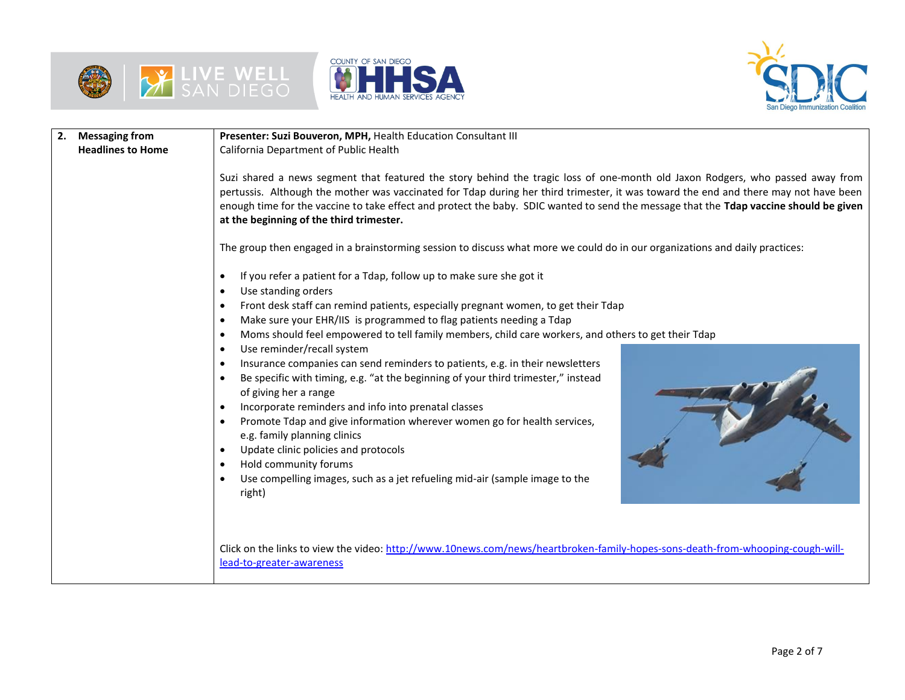





| <b>Messaging from</b>    | Presenter: Suzi Bouveron, MPH, Health Education Consultant III                                                                                                                                                                                                                                                                                                                                                                                                                                                                                                                                                                                                                                                                                                                                                                                                                                                                                                                                                                                                                                                                                                                                                                                         |  |  |  |  |  |  |
|--------------------------|--------------------------------------------------------------------------------------------------------------------------------------------------------------------------------------------------------------------------------------------------------------------------------------------------------------------------------------------------------------------------------------------------------------------------------------------------------------------------------------------------------------------------------------------------------------------------------------------------------------------------------------------------------------------------------------------------------------------------------------------------------------------------------------------------------------------------------------------------------------------------------------------------------------------------------------------------------------------------------------------------------------------------------------------------------------------------------------------------------------------------------------------------------------------------------------------------------------------------------------------------------|--|--|--|--|--|--|
| <b>Headlines to Home</b> | California Department of Public Health                                                                                                                                                                                                                                                                                                                                                                                                                                                                                                                                                                                                                                                                                                                                                                                                                                                                                                                                                                                                                                                                                                                                                                                                                 |  |  |  |  |  |  |
|                          | Suzi shared a news segment that featured the story behind the tragic loss of one-month old Jaxon Rodgers, who passed away from<br>pertussis. Although the mother was vaccinated for Tdap during her third trimester, it was toward the end and there may not have been<br>enough time for the vaccine to take effect and protect the baby. SDIC wanted to send the message that the Tdap vaccine should be given<br>at the beginning of the third trimester.                                                                                                                                                                                                                                                                                                                                                                                                                                                                                                                                                                                                                                                                                                                                                                                           |  |  |  |  |  |  |
|                          | The group then engaged in a brainstorming session to discuss what more we could do in our organizations and daily practices:                                                                                                                                                                                                                                                                                                                                                                                                                                                                                                                                                                                                                                                                                                                                                                                                                                                                                                                                                                                                                                                                                                                           |  |  |  |  |  |  |
|                          | If you refer a patient for a Tdap, follow up to make sure she got it<br>$\bullet$<br>Use standing orders<br>$\bullet$<br>Front desk staff can remind patients, especially pregnant women, to get their Tdap<br>$\bullet$<br>Make sure your EHR/IIS is programmed to flag patients needing a Tdap<br>$\bullet$<br>Moms should feel empowered to tell family members, child care workers, and others to get their Tdap<br>$\bullet$<br>Use reminder/recall system<br>$\bullet$<br>Insurance companies can send reminders to patients, e.g. in their newsletters<br>$\bullet$<br>Be specific with timing, e.g. "at the beginning of your third trimester," instead<br>$\bullet$<br>of giving her a range<br>Incorporate reminders and info into prenatal classes<br>Promote Tdap and give information wherever women go for health services,<br>$\bullet$<br>e.g. family planning clinics<br>Update clinic policies and protocols<br>$\bullet$<br>Hold community forums<br>$\bullet$<br>Use compelling images, such as a jet refueling mid-air (sample image to the<br>$\bullet$<br>right)<br>Click on the links to view the video: http://www.10news.com/news/heartbroken-family-hopes-sons-death-from-whooping-cough-will-<br>lead-to-greater-awareness |  |  |  |  |  |  |
|                          |                                                                                                                                                                                                                                                                                                                                                                                                                                                                                                                                                                                                                                                                                                                                                                                                                                                                                                                                                                                                                                                                                                                                                                                                                                                        |  |  |  |  |  |  |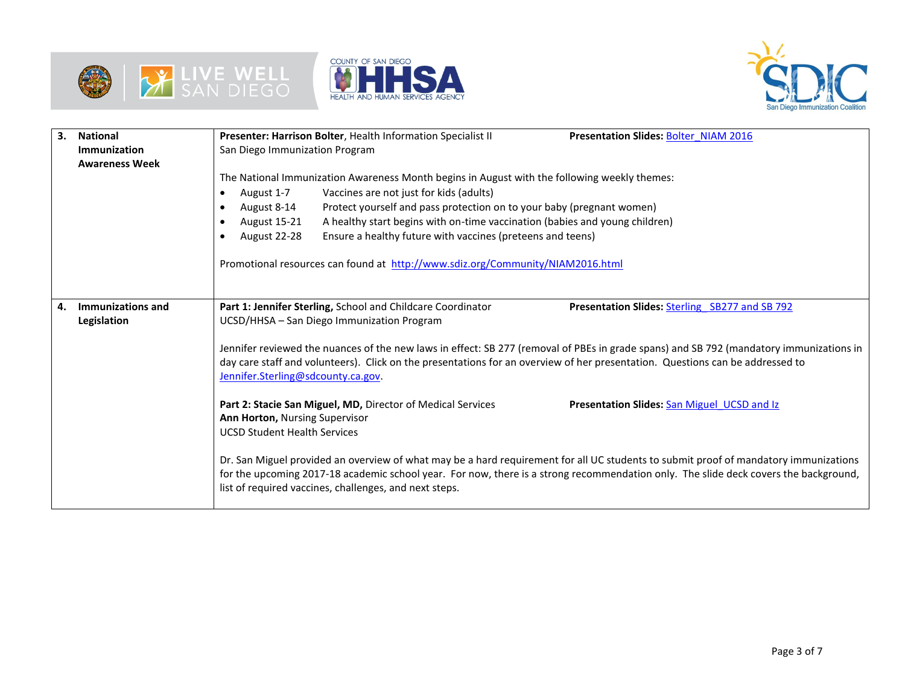





| 3. | <b>National</b><br>Immunization<br><b>Awareness Week</b> | Presenter: Harrison Bolter, Health Information Specialist II<br><b>Presentation Slides: Bolter NIAM 2016</b><br>San Diego Immunization Program                                                                                                                                                                                                                                                                                                                                                                                                           |
|----|----------------------------------------------------------|----------------------------------------------------------------------------------------------------------------------------------------------------------------------------------------------------------------------------------------------------------------------------------------------------------------------------------------------------------------------------------------------------------------------------------------------------------------------------------------------------------------------------------------------------------|
|    |                                                          | The National Immunization Awareness Month begins in August with the following weekly themes:<br>Vaccines are not just for kids (adults)<br>August 1-7<br>$\bullet$<br>Protect yourself and pass protection on to your baby (pregnant women)<br>August 8-14<br>$\bullet$<br>August 15-21<br>A healthy start begins with on-time vaccination (babies and young children)<br>٠<br>Ensure a healthy future with vaccines (preteens and teens)<br>August 22-28<br>$\bullet$<br>Promotional resources can found at http://www.sdiz.org/Community/NIAM2016.html |
| 4. | Immunizations and<br>Legislation                         | Part 1: Jennifer Sterling, School and Childcare Coordinator<br>Presentation Slides: Sterling SB277 and SB 792<br>UCSD/HHSA - San Diego Immunization Program                                                                                                                                                                                                                                                                                                                                                                                              |
|    |                                                          | Jennifer reviewed the nuances of the new laws in effect: SB 277 (removal of PBEs in grade spans) and SB 792 (mandatory immunizations in<br>day care staff and volunteers). Click on the presentations for an overview of her presentation. Questions can be addressed to<br>Jennifer.Sterling@sdcounty.ca.gov.                                                                                                                                                                                                                                           |
|    |                                                          | Part 2: Stacie San Miguel, MD, Director of Medical Services<br><b>Presentation Slides: San Miguel UCSD and Iz</b><br>Ann Horton, Nursing Supervisor<br><b>UCSD Student Health Services</b>                                                                                                                                                                                                                                                                                                                                                               |
|    |                                                          | Dr. San Miguel provided an overview of what may be a hard requirement for all UC students to submit proof of mandatory immunizations<br>for the upcoming 2017-18 academic school year. For now, there is a strong recommendation only. The slide deck covers the background,<br>list of required vaccines, challenges, and next steps.                                                                                                                                                                                                                   |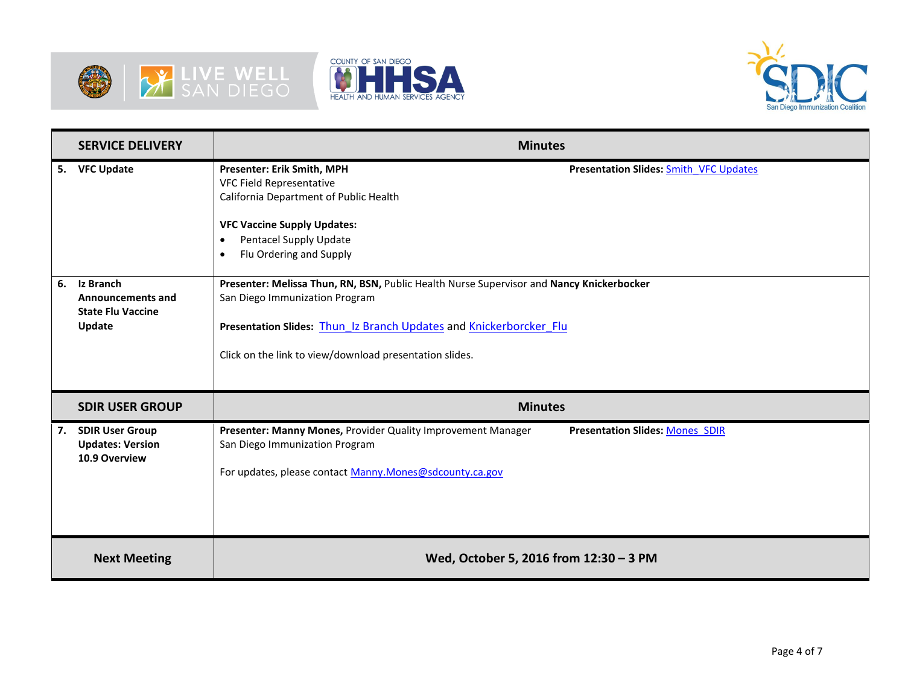





|    | <b>SERVICE DELIVERY</b>                                                     | <b>Minutes</b>                                                                                                                                                                                                                                                                |
|----|-----------------------------------------------------------------------------|-------------------------------------------------------------------------------------------------------------------------------------------------------------------------------------------------------------------------------------------------------------------------------|
|    | 5. VFC Update                                                               | <b>Presenter: Erik Smith, MPH</b><br><b>Presentation Slides: Smith VFC Updates</b><br>VFC Field Representative<br>California Department of Public Health<br><b>VFC Vaccine Supply Updates:</b><br>Pentacel Supply Update<br>$\bullet$<br>Flu Ordering and Supply<br>$\bullet$ |
| 6. | Iz Branch<br><b>Announcements and</b><br><b>State Flu Vaccine</b><br>Update | Presenter: Melissa Thun, RN, BSN, Public Health Nurse Supervisor and Nancy Knickerbocker<br>San Diego Immunization Program<br>Presentation Slides: Thun Iz Branch Updates and Knickerborcker_Flu<br>Click on the link to view/download presentation slides.                   |
|    | <b>SDIR USER GROUP</b>                                                      | <b>Minutes</b>                                                                                                                                                                                                                                                                |
| 7. | <b>SDIR User Group</b><br><b>Updates: Version</b><br>10.9 Overview          | Presenter: Manny Mones, Provider Quality Improvement Manager<br><b>Presentation Slides: Mones SDIR</b><br>San Diego Immunization Program<br>For updates, please contact Manny.Mones@sdcounty.ca.gov                                                                           |
|    | <b>Next Meeting</b>                                                         | Wed, October 5, 2016 from 12:30 - 3 PM                                                                                                                                                                                                                                        |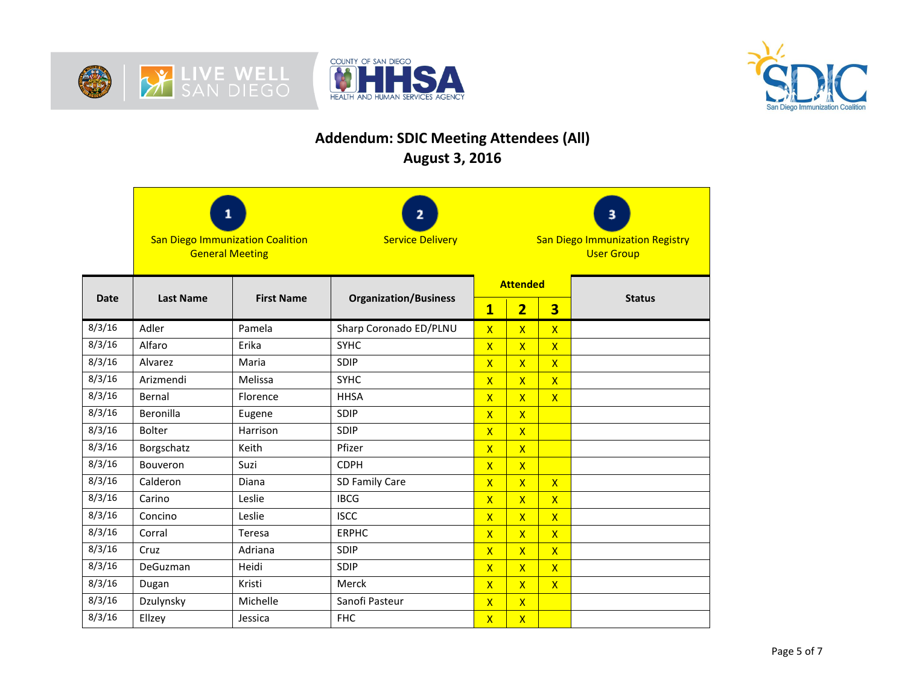





## **Addendum: SDIC Meeting Attendees (All) August 3, 2016**

|                                 | 2<br><b>San Diego Immunization Coalition</b><br><b>Service Delivery</b><br><b>General Meeting</b> |                   |                              | з<br><b>San Diego Immunization Registry</b><br><b>User Group</b> |                         |                         |               |
|---------------------------------|---------------------------------------------------------------------------------------------------|-------------------|------------------------------|------------------------------------------------------------------|-------------------------|-------------------------|---------------|
| <b>Date</b><br><b>Last Name</b> |                                                                                                   | <b>First Name</b> | <b>Organization/Business</b> | <b>Attended</b>                                                  |                         |                         | <b>Status</b> |
|                                 |                                                                                                   |                   |                              | $\mathbf{1}$                                                     | $\overline{\mathbf{2}}$ | $\overline{\mathbf{3}}$ |               |
| 8/3/16                          | Adler                                                                                             | Pamela            | Sharp Coronado ED/PLNU       | $\mathsf{x}$                                                     | $\overline{\mathsf{x}}$ | $\overline{X}$          |               |
| 8/3/16                          | Alfaro                                                                                            | Erika             | <b>SYHC</b>                  | $\mathsf{x}$                                                     | $\overline{\mathsf{X}}$ | $\overline{\mathsf{X}}$ |               |
| 8/3/16                          | Alvarez                                                                                           | Maria             | SDIP                         | $\mathsf{X}$                                                     | $\overline{\mathsf{x}}$ | $\overline{X}$          |               |
| 8/3/16                          | Arizmendi                                                                                         | Melissa           | <b>SYHC</b>                  | $\overline{\mathsf{x}}$                                          | $\overline{\mathsf{X}}$ | $\overline{\mathsf{X}}$ |               |
| 8/3/16                          | Bernal                                                                                            | Florence          | <b>HHSA</b>                  | $\overline{\mathsf{X}}$                                          | $\overline{\mathsf{X}}$ | $\overline{X}$          |               |
| 8/3/16                          | Beronilla                                                                                         | Eugene            | <b>SDIP</b>                  | $\mathsf{X}$                                                     | $\overline{\mathsf{x}}$ |                         |               |
| 8/3/16                          | <b>Bolter</b>                                                                                     | Harrison          | SDIP                         | $\mathsf{X}$                                                     | $\mathsf{X}$            |                         |               |
| 8/3/16                          | Borgschatz                                                                                        | Keith             | Pfizer                       | $\mathsf{X}$                                                     | $\mathsf{X}$            |                         |               |
| 8/3/16                          | Bouveron                                                                                          | Suzi              | <b>CDPH</b>                  | $\mathsf{x}$                                                     | $\overline{\mathsf{x}}$ |                         |               |
| 8/3/16                          | Calderon                                                                                          | Diana             | SD Family Care               | $\overline{\mathsf{x}}$                                          | $\overline{\mathsf{x}}$ | $\overline{X}$          |               |
| 8/3/16                          | Carino                                                                                            | Leslie            | <b>IBCG</b>                  | $\mathsf{X}$                                                     | $\overline{\mathsf{X}}$ | $\overline{\mathsf{X}}$ |               |
| 8/3/16                          | Concino                                                                                           | Leslie            | <b>ISCC</b>                  | $\mathsf{X}$                                                     | $\overline{\mathsf{X}}$ | $\overline{\mathsf{X}}$ |               |
| 8/3/16                          | Corral                                                                                            | Teresa            | <b>ERPHC</b>                 | $\mathsf{x}$                                                     | $\overline{\mathsf{x}}$ | $\overline{\mathsf{X}}$ |               |
| 8/3/16                          | Cruz                                                                                              | Adriana           | <b>SDIP</b>                  | $\overline{\mathsf{x}}$                                          | $\overline{\mathsf{X}}$ | $\overline{X}$          |               |
| 8/3/16                          | DeGuzman                                                                                          | Heidi             | SDIP                         | $\mathsf{X}$                                                     | $\mathsf{X}$            | $\mathsf{X}$            |               |
| 8/3/16                          | Dugan                                                                                             | Kristi            | Merck                        | $\mathsf{X}$                                                     | $\overline{\mathsf{x}}$ | $\mathsf{X}$            |               |
| 8/3/16                          | Dzulynsky                                                                                         | Michelle          | Sanofi Pasteur               | $\mathsf{X}$                                                     | $\overline{\mathsf{X}}$ |                         |               |
| 8/3/16                          | Ellzey                                                                                            | Jessica           | <b>FHC</b>                   | $\mathsf{X}$                                                     | $\overline{\mathsf{X}}$ |                         |               |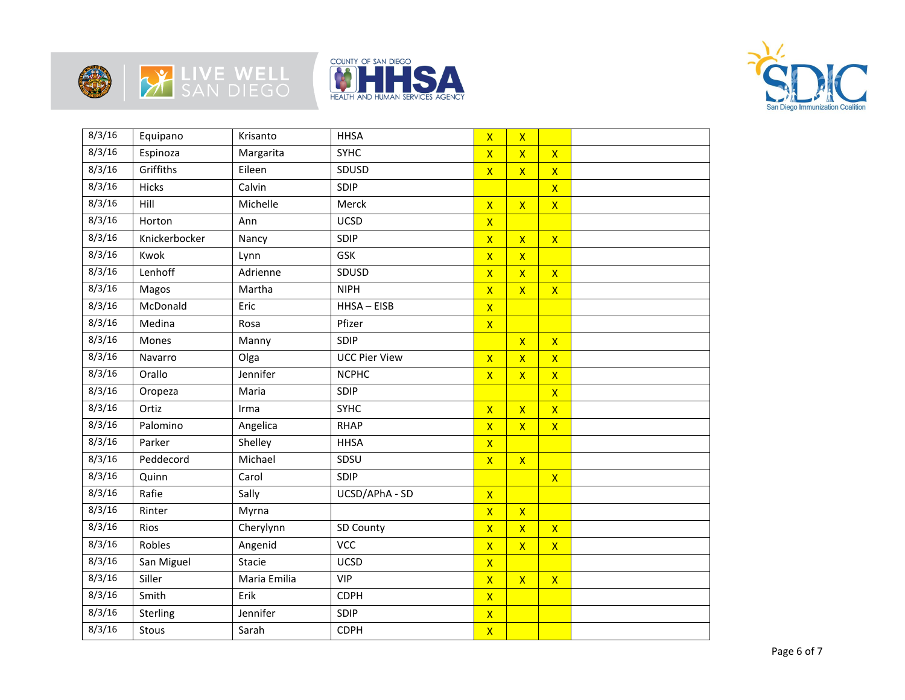







| 8/3/16 | Equipano      | Krisanto     | <b>HHSA</b>          | $\overline{\mathsf{x}}$ | $\mathsf{X}$            |                         |  |
|--------|---------------|--------------|----------------------|-------------------------|-------------------------|-------------------------|--|
| 8/3/16 | Espinoza      | Margarita    | <b>SYHC</b>          | $\overline{\mathsf{X}}$ | $\overline{\mathsf{x}}$ | $\mathsf{X}$            |  |
| 8/3/16 | Griffiths     | Eileen       | SDUSD                | $\overline{\mathsf{X}}$ | $\overline{\mathsf{X}}$ | $\overline{\mathsf{x}}$ |  |
| 8/3/16 | <b>Hicks</b>  | Calvin       | SDIP                 |                         |                         | $\overline{\mathsf{x}}$ |  |
| 8/3/16 | Hill          | Michelle     | Merck                | $\overline{\mathsf{X}}$ | $\overline{\mathsf{X}}$ | $\overline{\mathsf{X}}$ |  |
| 8/3/16 | Horton        | Ann          | <b>UCSD</b>          | $\mathsf{X}$            |                         |                         |  |
| 8/3/16 | Knickerbocker | Nancy        | SDIP                 | $\overline{\mathsf{X}}$ | $\overline{\mathsf{x}}$ | $\overline{\mathsf{x}}$ |  |
| 8/3/16 | Kwok          | Lynn         | <b>GSK</b>           | $\overline{X}$          | $\overline{\mathsf{x}}$ |                         |  |
| 8/3/16 | Lenhoff       | Adrienne     | SDUSD                | $\overline{\mathsf{X}}$ | $\overline{\mathsf{x}}$ | $\mathsf{X}$            |  |
| 8/3/16 | Magos         | Martha       | <b>NIPH</b>          | $\overline{X}$          | $\overline{\mathsf{X}}$ | $\mathsf{X}$            |  |
| 8/3/16 | McDonald      | Eric         | HHSA-EISB            | $\mathsf{X}$            |                         |                         |  |
| 8/3/16 | Medina        | Rosa         | Pfizer               | $\mathsf{X}$            |                         |                         |  |
| 8/3/16 | Mones         | Manny        | SDIP                 |                         | $\overline{\mathsf{x}}$ | $\overline{\mathsf{x}}$ |  |
| 8/3/16 | Navarro       | Olga         | <b>UCC Pier View</b> | $\mathsf{x}$            | $\overline{\mathsf{x}}$ | $\mathsf{X}$            |  |
| 8/3/16 | Orallo        | Jennifer     | <b>NCPHC</b>         | $\overline{\mathsf{X}}$ | $\overline{\mathsf{X}}$ | $\mathsf{X}$            |  |
| 8/3/16 | Oropeza       | Maria        | SDIP                 |                         |                         | $\overline{\mathsf{x}}$ |  |
| 8/3/16 | Ortiz         | Irma         | <b>SYHC</b>          | $\overline{\mathsf{X}}$ | $\overline{\mathsf{x}}$ | $\mathsf{X}$            |  |
| 8/3/16 | Palomino      | Angelica     | <b>RHAP</b>          | $\mathsf{X}$            | $\overline{\mathsf{x}}$ | $\mathsf{X}$            |  |
| 8/3/16 | Parker        | Shelley      | <b>HHSA</b>          | $\overline{\mathsf{x}}$ |                         |                         |  |
| 8/3/16 | Peddecord     | Michael      | SDSU                 | $\mathsf{X}$            | $\mathsf{X}$            |                         |  |
| 8/3/16 | Quinn         | Carol        | SDIP                 |                         |                         | $\overline{\mathsf{x}}$ |  |
| 8/3/16 | Rafie         | Sally        | UCSD/APhA - SD       | $\mathsf{X}$            |                         |                         |  |
| 8/3/16 | Rinter        | Myrna        |                      | $\overline{X}$          | $\mathsf{X}$            |                         |  |
| 8/3/16 | Rios          | Cherylynn    | SD County            | $\mathsf{X}$            | $\mathsf{X}$            | $\mathsf{X}$            |  |
| 8/3/16 | Robles        | Angenid      | <b>VCC</b>           | $\overline{\mathsf{X}}$ | $\overline{\mathsf{x}}$ | $\overline{\mathsf{x}}$ |  |
| 8/3/16 | San Miguel    | Stacie       | <b>UCSD</b>          | $\mathsf{X}$            |                         |                         |  |
| 8/3/16 | Siller        | Maria Emilia | <b>VIP</b>           | $\overline{\mathsf{X}}$ | $\overline{\mathsf{x}}$ | $\mathsf{X}$            |  |
| 8/3/16 | Smith         | Erik         | <b>CDPH</b>          | $\mathsf{X}$            |                         |                         |  |
| 8/3/16 | Sterling      | Jennifer     | SDIP                 | $\mathsf{X}$            |                         |                         |  |
| 8/3/16 | Stous         | Sarah        | <b>CDPH</b>          | $\mathsf{X}$            |                         |                         |  |
|        |               |              |                      |                         |                         |                         |  |